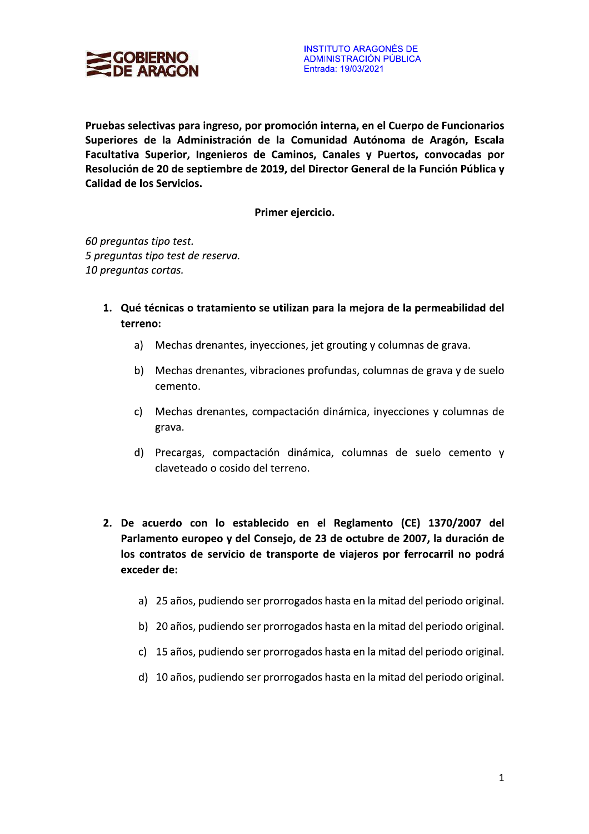

Pruebas selectivas para ingreso, por promoción interna, en el Cuerpo de Funcionarios Superiores de la Administración de la Comunidad Autónoma de Aragón, Escala Facultativa Superior, Ingenieros de Caminos, Canales y Puertos, convocadas por Resolución de 20 de septiembre de 2019, del Director General de la Función Pública y Calidad de los Servicios.

Primer ejercicio.

60 preguntas tipo test. 5 preguntas tipo test de reserva. 10 preguntas cortas.

- 1. Qué técnicas o tratamiento se utilizan para la mejora de la permeabilidad del terreno:
	- a) Mechas drenantes, inyecciones, jet grouting y columnas de grava.
	- b) Mechas drenantes, vibraciones profundas, columnas de grava y de suelo cemento.
	- c) Mechas drenantes, compactación dinámica, inyecciones y columnas de grava.
	- d) Precargas, compactación dinámica, columnas de suelo cemento y claveteado o cosido del terreno.
- 2. De acuerdo con lo establecido en el Reglamento (CE) 1370/2007 del Parlamento europeo y del Consejo, de 23 de octubre de 2007, la duración de los contratos de servicio de transporte de viajeros por ferrocarril no podrá exceder de:
	- a) 25 años, pudiendo ser prorrogados hasta en la mitad del periodo original.
	- b) 20 años, pudiendo ser prorrogados hasta en la mitad del periodo original.
	- c) 15 años, pudiendo ser prorrogados hasta en la mitad del periodo original.
	- d) 10 años, pudiendo ser prorrogados hasta en la mitad del periodo original.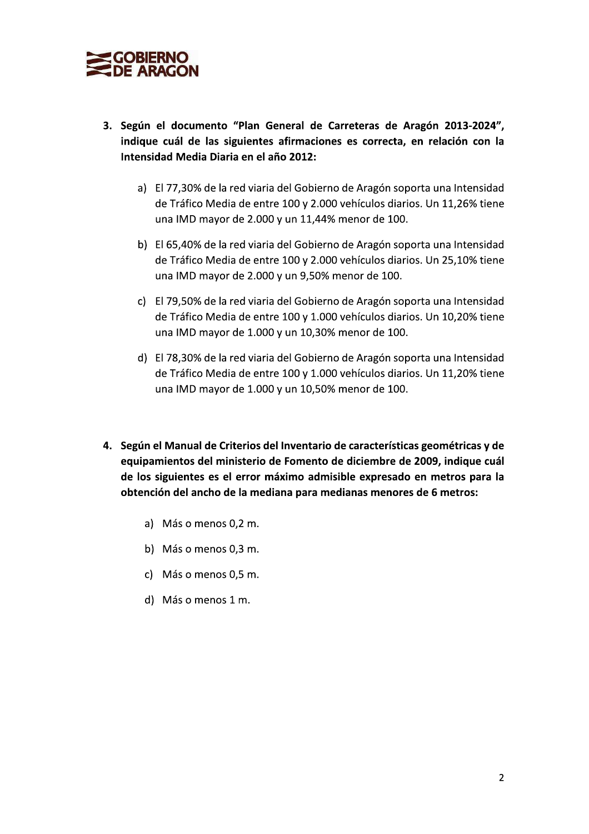

- 3. Según el documento "Plan General de Carreteras de Aragón 2013-2024". indique cuál de las siguientes afirmaciones es correcta, en relación con **SOBIERNO**<br> **SOBIERNO**<br> **SOBIERNO**<br> **SOBIERNO**<br> **SOBIERNO**<br> **SOBIERNO**<br> **SOBIERNO**<br> **SOBIERNO**<br> **SOBIERNO**<br> **SOBIERNO**<br> **SOBIERNO**<br> **SOBIERNO**<br> **SOBIERNO**<br> **SOBIERNO**<br> **SOBIERNO**<br> **SOBIERNO**<br> **SOBIERNO**<br> **SOBIERNO**<br> **SOBIE** tensidad Media Diaria en el año 2012:
	- a) El 77,30% de la red viaria del Gobierno de Aragón soporta una Intensidad de Tráfico Media de entre 100 y 2.000 vehículos diarios. Un 11.26% tiene una IMD mayor de 2.000 y un 11.44% menor de 100.
	- b) El 65,40% de la red viaria del Gobierno de Aragón soporta una Intensidad rios. Un 25.10% tiene una IMD mayor de 2.000 y un 9.50% menor de 100.
	- c) El 79,50% de la red viaria del Gobierno de Aragón soporta una Intensidad de Tráfico Media de entre 100 y 1.000 vehículos diarios. Un 10.20% tiene una IMD mayor de  $1.000$  y un  $10,30\%$  menor de  $100$ .
	- d) El 78,30% de la red viaria del Gobierno de Aragón soporta una Intensidad rios. Un 11.20% tiene una IMD mayor de 1.000 y un 10,50% menor de 100.
	- 4. Según el Manual de Criterios del Inventario de características geométricas y de na livib mayor de 1.000 y un 10,30% menor de 10<br>78,30% de la red viaria del Gobierno de Aragón s<br>e Tráfico Media de entre 100 y 1.000 vehículos dia<br>na IMD mayor de 1.000 y un 10,50% menor de 10<br>**Manual de Criterios del Inv** eguipamientos del ministerio de Fomento de diciembre de 2009. indique cuál de los siguientes es el error máximo admisible expresado en metros para la obtención del ancho de la mediana para medianas menores de 6 metros:
		- a) Más o menos 0.2 m.
		- b) Más o menos 0,3 m.
		- c) Más o menos 0,5 m.
		- d) Más o menos  $1 \text{ m}$ .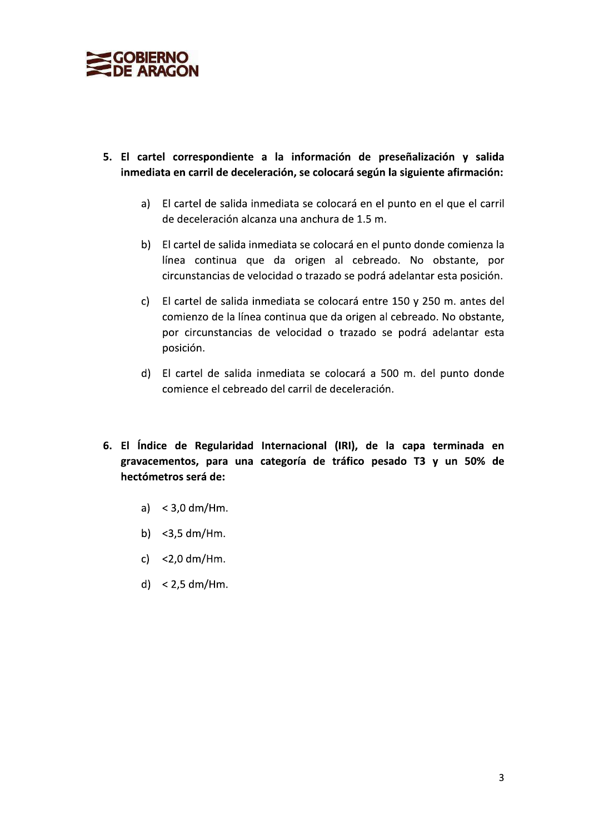

- 5. El cartel correspondiente a la información de preseñalización y salida inmediata en carril de deceleración, se colocará según la siguiente afirmación:
	- a) El cartel de salida inmediata se colocará en el punto en el que el carril de deceleración alcanza una anchura de 1.5 m.
	- b) El cartel de salida inmediata se colocará en el punto donde comienza la línea continua que da origen al cebreado. No obstante, por circunstancias de velocidad o trazado se podrá adelantar esta posición.
	- c) El cartel de salida inmediata se colocará entre 150 y 250 m. antes del comienzo de la línea continua que da origen al cebreado. No obstante, por circunstancias de velocidad o trazado se podrá adelantar esta posición.
	- d) El cartel de salida inmediata se colocará a 500 m. del punto donde comience el cebreado del carril de deceleración.
- 6. El Índice de Regularidad Internacional (IRI), de la capa terminada en gravacementos, para una categoría de tráfico pesado T3 y un 50% de hectómetros será de:
	- a)  $<$  3,0 dm/Hm.
	- b)  $<$ 3,5 dm/Hm.
	- c)  $<$  2,0 dm/Hm.
	- d)  $< 2.5$  dm/Hm.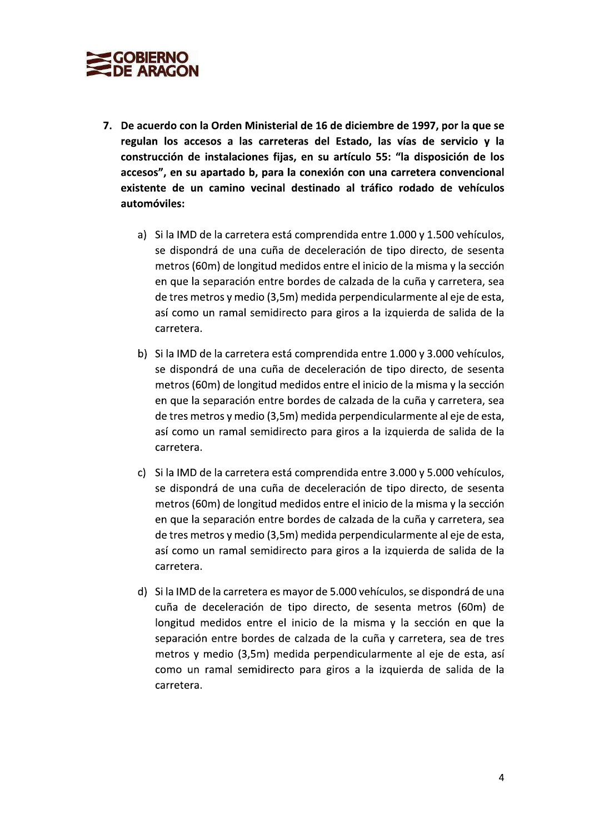

- 7. De acuerdo con la Orden Ministerial de 16 de diciembre de 1997, por la que se regulan los accesos a las carreteras del Estado, las vías de servicio y la construcción de instalaciones fijas, en su artículo 55: "la disposición de los sterial de 16 de diciembre de 1997, por la que se<br>rreteras del Estado, las vías de servicio y la<br>fijas, en su artículo 55: "la disposición de los<br>ara la conexión con una carretera convencional<br>nal destinado al tráfico roda accesos", en su apartado b, para la conexión con una carretera convencional existente de un camino vecinal destinado al tráfico rodado de vehícu 7. De acuerdo con la Orden Ministerial de 16 de diciembre de 1997, por la que se<br>regulan los accesos a las carreteras del Estado, las vías de servicio y la<br>construcción de instalaciones fijas, en su artículo 55: "la dispo
	- a) Si la IMD de la carretera está comprendida entre 1.000 y 1.500 vehículos, se dispondrá de una cuña de deceleración de tipo directo, de sesenta metros (60m) de longitud medidos entre el inicio de la misma y la sección en que la separación entre bordes de calzada de la cuña y carretera, sea de tres metros y medio (3,5m) medida perpendicularmente al eje de esta, así como un ramal semidirecto para giros a la izquierda de salida de la carretera.
	- b) Si la IMD de la carretera está comprendida entre 1.000 y 3.000 vehículos, se dispondrá de una cuña de deceleración de tipo directo, de sesenta metros (60m) de longitud medidos entre el inicio de la misma y la sección en que la separación entre bordes de calzada de la cuña y carretera, sea de tres metros y medio (3,5m) medida perpendicularmente al eje de esta, así como un ramal semidirecto para giros a la izquierda de salida de la carretera.
	- c) Si la IMD de la carretera está comprendida entre 3.000 y 5.000 vehículos, se dispondrá de una cuña de deceleración de tipo directo, de sesenta metros (60m) de longitud medidos entre el inicio de la misma y la sección en que la separación entre bordes de calzada de la cuña y carretera, sea de tres metros y medio (3,5m) medida perpendicularmente al eje de esta, así como un ramal semidirecto para giros a la izquierda de salida de la carretera.
	- d) Si la IMD de la carretera es mayor de 5.000 vehículos, se dispondrá de una cuña de deceleración de tipo directo, de sesenta metros (60m) de longitud medidos entre el inicio de la misma y la sección en que la separación entre bordes de calzada de la cuña y carretera, sea de tres metros y medio (3,5m) medida perpendicularmente al eje de esta, así como un ramal semidirecto para giros a la izquierda de salida de la carretera.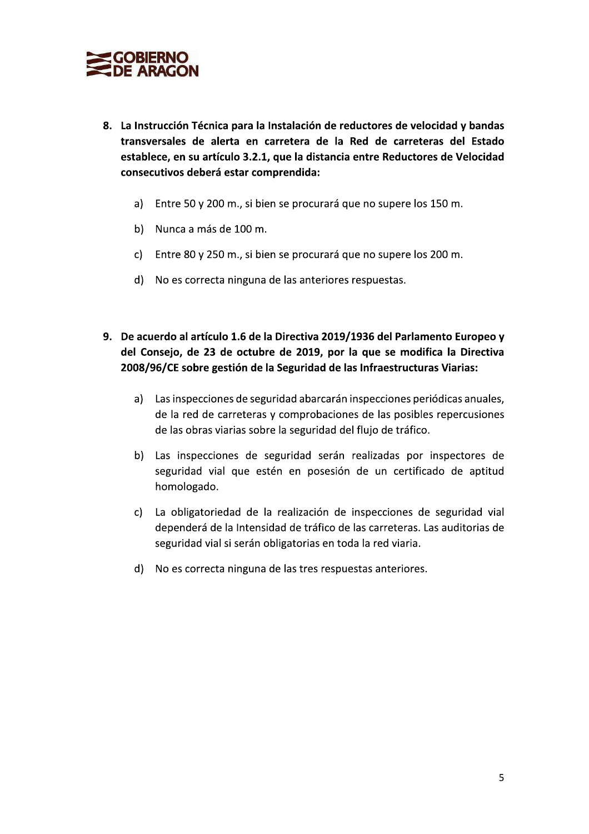

- 8. La Instrucción Técnica para la Instalación de reductores de velocidad y bandas transversales de alerta en carretera de la Red de carreteras del Estado establece, en su artículo 3.2.1, que la distancia entre Reductores de Velocidad consecutivos deberá estar comprendida:
	- a) Entre 50 y 200 m., si bien se procurará que no supere los 150 m.
	- b) Nunca a más de 100 m.
	- c) Entre 80 y 250 m., si bien se procurará que no supere los 200 m.
	- d) No es correcta ninguna de las anteriores respuestas.
- 9. De acuerdo al artículo 1.6 de la Directiva 2019/1936 del Parlamento Europeo y del Consejo, de 23 de octubre de 2019, por la que se modifica la Directiva 2008/96/CE sobre gestión de la Seguridad de las Infraestructuras Viarias:
	- a) Las inspecciones de seguridad abarcarán inspecciones periódicas anuales, de la red de carreteras y comprobaciones de las posibles repercusiones de las obras viarias sobre la seguridad del flujo de tráfico.
	- b) Las inspecciones de seguridad serán realizadas por inspectores de seguridad vial que estén en posesión de un certificado de aptitud homologado.
	- c) La obligatoriedad de la realización de inspecciones de seguridad vial dependerá de la Intensidad de tráfico de las carreteras. Las auditorias de seguridad vial si serán obligatorias en toda la red viaria.
	- d) No es correcta ninguna de las tres respuestas anteriores.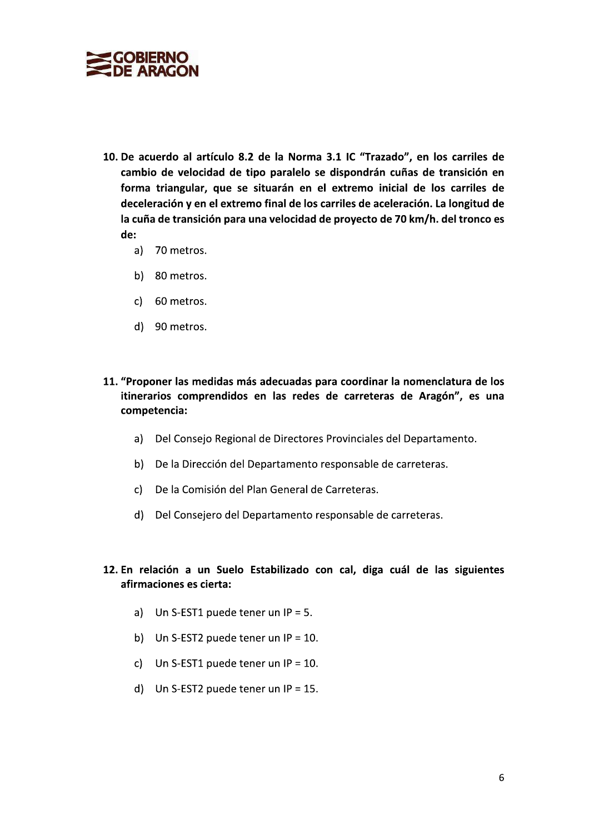

- 10. De acuerdo al artículo 8.2 de la Norma 3.1 IC "Trazado", en los carriles de cambio de velocidad de tipo paralelo se dispondrán cuñas de transición en forma triangular, que se situarán en el extremo inicial de los carriles de deceleración y en el extremo final de los carriles de aceleración. La longitud de la cuña de transición para una velocidad de proyecto de 70 km/h. del tronco es de:
	- a) 70 metros.
	- b) 80 metros.
	- c) 60 metros.
	- d) 90 metros.
- 11. "Proponer las medidas más adecuadas para coordinar la nomenclatura de los itinerarios comprendidos en las redes de carreteras de Aragón", es una competencia:
	- a) Del Consejo Regional de Directores Provinciales del Departamento.
	- b) De la Dirección del Departamento responsable de carreteras.
	- c) De la Comisión del Plan General de Carreteras.
	- d) Del Consejero del Departamento responsable de carreteras.
- 12. En relación a un Suelo Estabilizado con cal, diga cuál de las siguientes afirmaciones es cierta:
	- a) Un S-EST1 puede tener un  $IP = 5$ .
	- b) Un S-EST2 puede tener un  $IP = 10$ .
	- c) Un S-EST1 puede tener un  $IP = 10$ .
	- d) Un S-EST2 puede tener un  $IP = 15$ .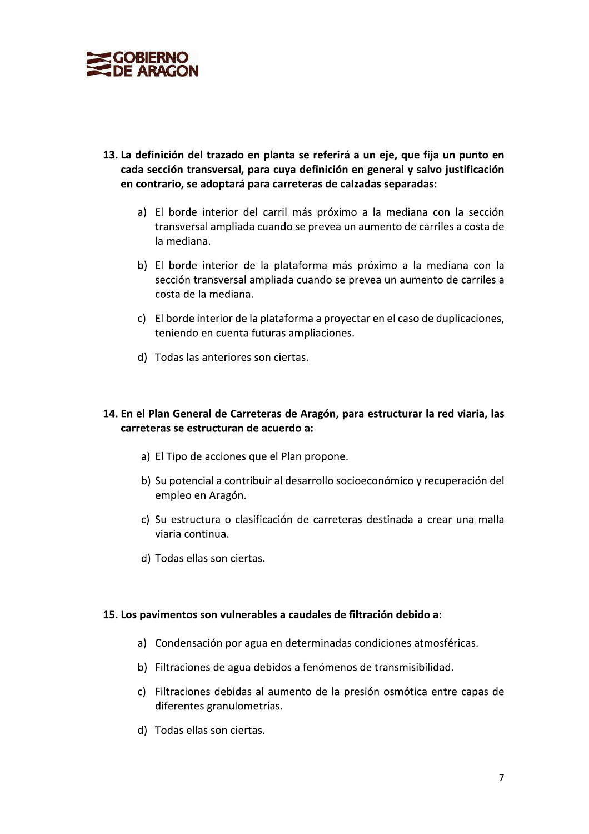

- 13. La definición del trazado en planta se referirá a un eje, que fija un punto en cada sección transversal, para cuva definición en general y salvo justificación en contrario, se adoptará para carreteras de calzadas separadas:
	- a) El borde interior del carril más próximo a la mediana con la sección transversal ampliada cuando se prevea un aumento de carriles a costa de la mediana.
	- b) El borde interior de la plataforma más próximo a la mediana con la sección transversal ampliada cuando se prevea un aumento de carriles a costa de la mediana.
	- c) El borde interior de la plataforma a proyectar en el caso de duplicaciones, teniendo en cuenta futuras ampliaciones.
	- d) Todas las anteriores son ciertas.

#### 14. En el Plan General de Carreteras de Aragón, para estructurar la red viaria, las carreteras se estructuran de acuerdo a:

- a) El Tipo de acciones que el Plan propone.
- b) Su potencial a contribuir al desarrollo socioeconómico y recuperación del empleo en Aragón.
- c) Su estructura o clasificación de carreteras destinada a crear una malla viaria continua.
- d) Todas ellas son ciertas.

#### 15. Los pavimentos son vulnerables a caudales de filtración debido a:

- a) Condensación por agua en determinadas condiciones atmosféricas.
- b) Filtraciones de agua debidos a fenómenos de transmisibilidad.
- c) Filtraciones debidas al aumento de la presión osmótica entre capas de diferentes granulometrías.
- d) Todas ellas son ciertas.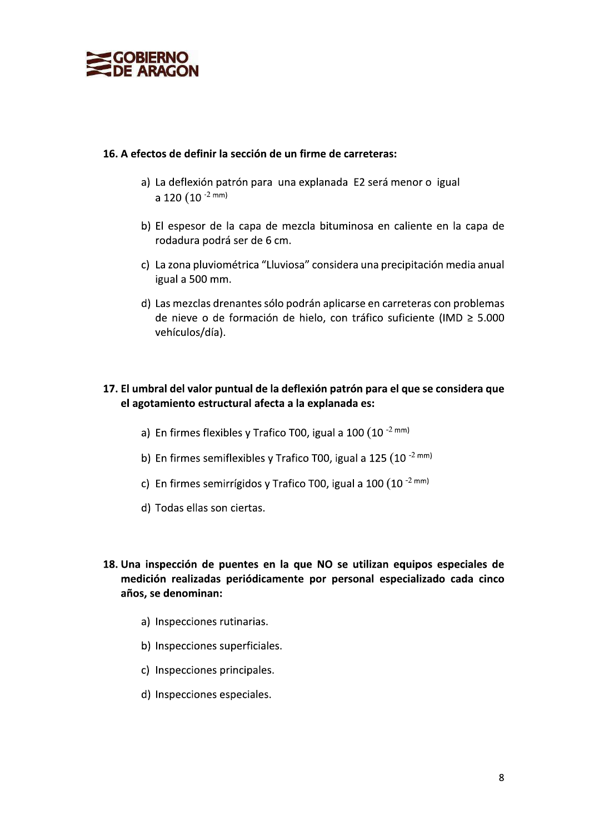

#### 16. A efectos de definir la sección de un firme de carreteras:

- a) La deflexión patrón para una explanada E2 será menor o igual a 120  $(10^{-2}$  mm)
- b) El espesor de la capa de mezcla bituminosa en caliente en la capa de rodadura podrá ser de 6 cm.
- c) La zona pluviométrica "Lluviosa" considera una precipitación media anual igual a 500 mm.
- d) Las mezclas drenantes sólo podrán aplicarse en carreteras con problemas de nieve o de formación de hielo, con tráfico suficiente (IMD ≥ 5.000 vehículos/día).

# 17. El umbral del valor puntual de la deflexión patrón para el que se considera que el agotamiento estructural afecta a la explanada es:

- a) En firmes flexibles y Trafico T00, igual a  $100 (10^{-2} \text{ mm})$
- b) En firmes semiflexibles y Trafico T00, igual a 125 (10 $^{-2}$  mm)
- c) En firmes semirrígidos y Trafico T00, igual a 100  $(10^{-2} \text{ mm})$
- d) Todas ellas son ciertas.
- 18. Una inspección de puentes en la que NO se utilizan equipos especiales de medición realizadas periódicamente por personal especializado cada cinco años, se denominan:
	- a) Inspecciones rutinarias.
	- b) Inspecciones superficiales.
	- c) Inspecciones principales.
	- d) Inspecciones especiales.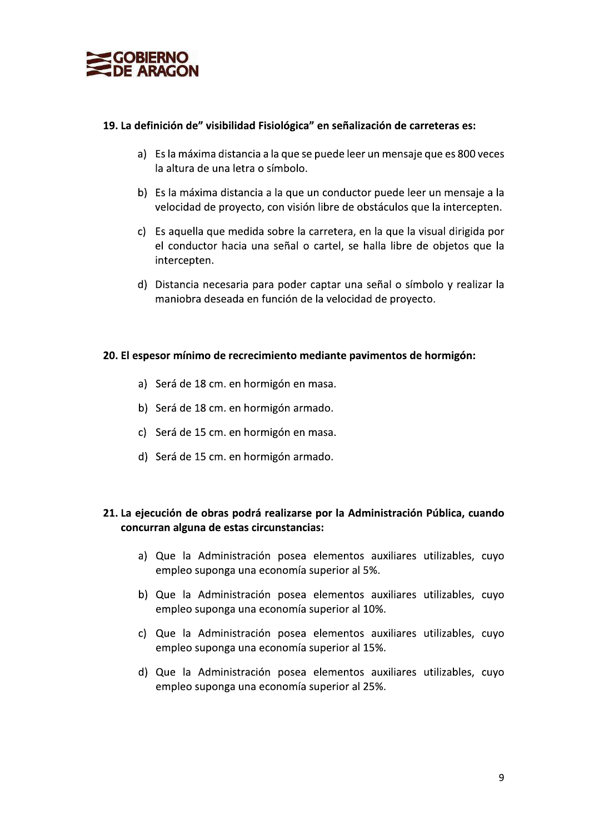

#### 19. La definición de" visibilidad Fisiológica" en señalización de carreteras es:

- a) Es la máxima distancia a la que se puede leer un mensaje que es 800 veces la altura de una letra o símbolo.
- b) Es la máxima distancia a la que un conductor puede leer un mensaje a la velocidad de proyecto, con visión libre de obstáculos que la intercepten.
- c) Es aquella que medida sobre la carretera, en la que la visual dirigida por el conductor hacia una señal o cartel, se halla libre de objetos que la intercepten.
- d) Distancia necesaria para poder captar una señal o símbolo y realizar la maniobra deseada en función de la velocidad de proyecto.

#### 20. El espesor mínimo de recrecimiento mediante pavimentos de hormigón:

- a) Será de 18 cm. en hormigón en masa.
- b) Será de 18 cm. en hormigón armado.
- c) Será de 15 cm. en hormigón en masa.
- d) Será de 15 cm. en hormigón armado.

### 21. La ejecución de obras podrá realizarse por la Administración Pública, cuando concurran alguna de estas circunstancias:

- a) Que la Administración posea elementos auxiliares utilizables, cuyo empleo suponga una economía superior al 5%.
- b) Que la Administración posea elementos auxiliares utilizables, cuyo empleo suponga una economía superior al 10%.
- c) Que la Administración posea elementos auxiliares utilizables, cuyo empleo suponga una economía superior al 15%.
- d) Que la Administración posea elementos auxiliares utilizables, cuyo empleo suponga una economía superior al 25%.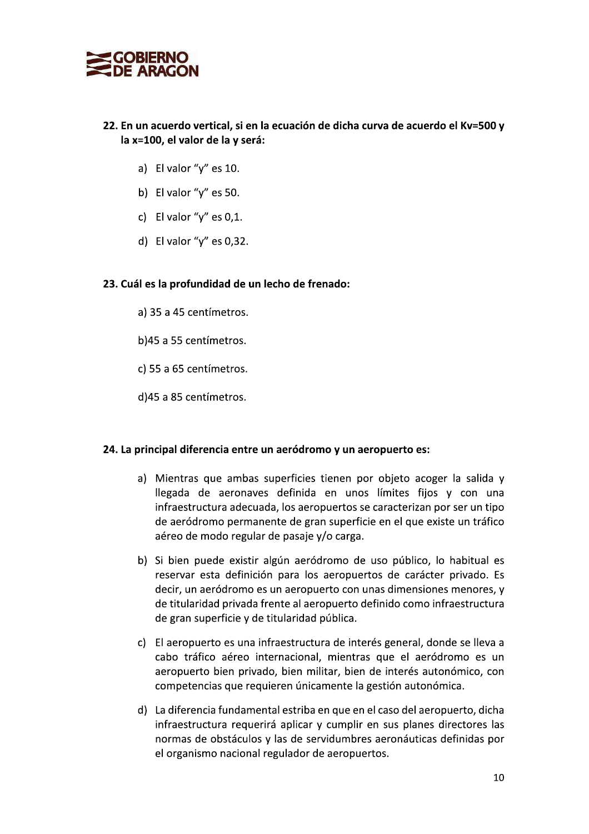

# 22. En un acuerdo vertical, și en la ecuación de dicha curva de acuerdo el Kv=500 v **EXECTS SOBIERNO<br>
DE ARAGON<br>
22. En un acuerdo vertical, si en la ecu<br>
la x=100, el valor de la y será:<br>
a) El valor "y" es 10.<br>
b) El valor "y" es 50.<br>
c) El valor "y" es 0,1.<br>
d) El valor "y" es 0,32.<br>
23. Cuál es la pr** 22. En un acuerdo vertical, si en la econdista de la vertical de la vertical de la vertical de la vertical de la vertical de la vertical de la vertical de la vertical de la vertical de la profundidad de un lecho de la 3 3 22. En directura vertical, si en la econdica vertical, si en la econdica vertical, si en la econdica vertical di El valor "y" es  $10$ .<br>
b) El valor "y" es  $50$ .<br>
c) El valor "y" es  $0,1$ .<br>
d) El valor "y" es  $0,32$ .<br>
23.

- 
- 
- 
- 

# 23. Cuál es la profundidad de un lecho de frenado:

- a) 35 a 45 centímetros.
- b)45 a 55 centímetros.
- c) 55 a 65 centímetros.
- d) 45 a 85 centímetros.

# 24. La principal diferencia entre un aeródromo y un aeropuerto es:

- 
- d)45 a 85 centimetros.<br>
24. La principal diferencia entre un aeródromo y un aeropuerto es:<br>
31. Mientras que ambas superficies tienen por objeto acoger la salida y<br>
llegada de aeronaves definida en unos límites fijns y co
	-
	-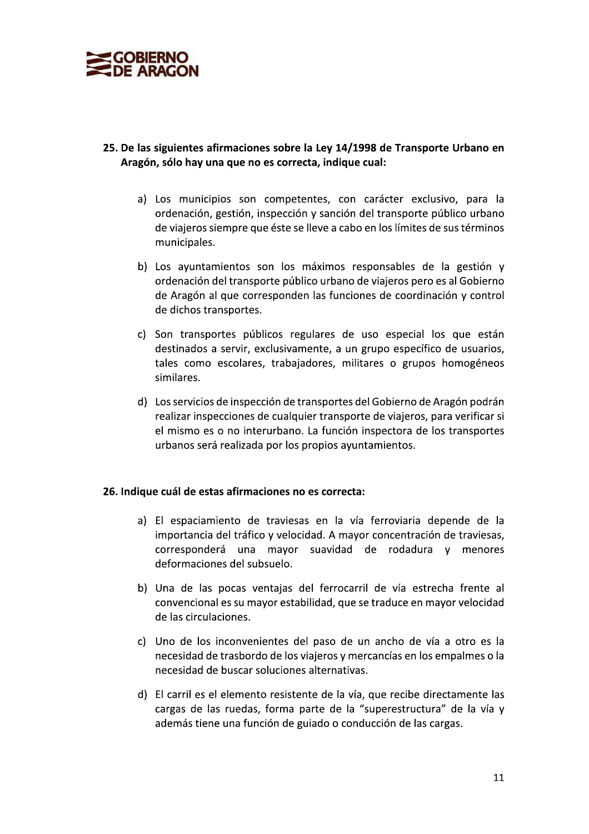

### 25. De las siguientes afirmaciones sobre la Ley 14/1998 de Transporte Urbano en Aragón, sólo hay una que no es correcta, indique cual:

- a) Los municipios son competentes, con carácter exclusivo, para la ordenación, gestión, inspección y sanción del transporte público urbano de viajeros siempre que éste se lleve a cabo en los límites de sus términos municipales.
- b) Los ayuntamientos son los máximos responsables de la gestión y ordenación del transporte público urbano de viajeros pero es al Gobierno de Aragón al que corresponden las funciones de coordinación y control de dichos transportes.
- c) Son transportes públicos regulares de uso especial los que están destinados a servir, exclusivamente, a un grupo específico de usuarios, tales como escolares, trabajadores, militares o grupos homogéneos similares.
- d) Los servicios de inspección de transportes del Gobierno de Aragón podrán realizar inspecciones de cualquier transporte de viajeros, para verificar si el mismo es o no interurbano. La función inspectora de los transportes urbanos será realizada por los propios ayuntamientos.

#### 26. Indique cuál de estas afirmaciones no es correcta:

- a) El espaciamiento de traviesas en la vía ferroviaria depende de la importancia del tráfico y velocidad. A mayor concentración de traviesas, corresponderá una mayor suavidad de rodadura y menores deformaciones del subsuelo.
- b) Una de las pocas ventajas del ferrocarril de vía estrecha frente al convencional es su mayor estabilidad, que se traduce en mayor velocidad de las circulaciones.
- c) Uno de los inconvenientes del paso de un ancho de vía a otro es la necesidad de trasbordo de los viajeros y mercancías en los empalmes o la necesidad de buscar soluciones alternativas.
- d) El carril es el elemento resistente de la vía, que recibe directamente las cargas de las ruedas, forma parte de la "superestructura" de la vía y además tiene una función de guiado o conducción de las cargas.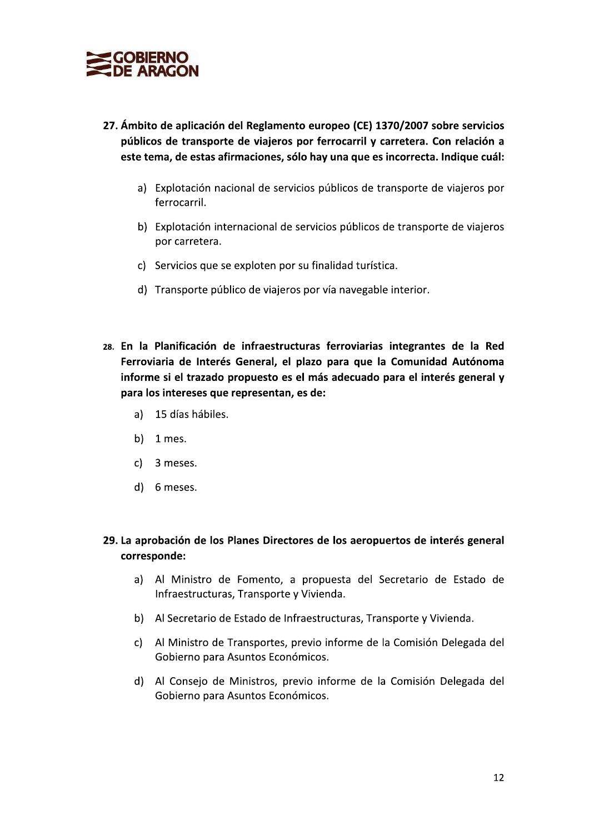

- 27. Ámbito de aplicación del Reglamento europeo (CE) 1370/2007 sobre servicios públicos de transporte de viajeros por ferrocarril y carretera. Con relación a este tema, de estas afirmaciones, sólo hay una que es incorrecta. Indique cuál:
	- a) Explotación nacional de servicios públicos de transporte de viajeros por ferrocarril.
	- b) Explotación internacional de servicios públicos de transporte de viajeros por carretera.
	- c) Servicios que se exploten por su finalidad turística.
	- d) Transporte público de viajeros por vía navegable interior.
- 28. En la Planificación de infraestructuras ferroviarias integrantes de la Red Ferroviaria de Interés General, el plazo para que la Comunidad Autónoma informe si el trazado propuesto es el más adecuado para el interés general y para los intereses que representan, es de:
	- a) 15 días hábiles.
	- b)  $1$  mes.
	- c) 3 meses.
	- d) 6 meses.

### 29. La aprobación de los Planes Directores de los aeropuertos de interés general corresponde:

- a) Al Ministro de Fomento, a propuesta del Secretario de Estado de Infraestructuras, Transporte y Vivienda.
- b) Al Secretario de Estado de Infraestructuras, Transporte y Vivienda.
- c) Al Ministro de Transportes, previo informe de la Comisión Delegada del Gobierno para Asuntos Económicos.
- d) Al Consejo de Ministros, previo informe de la Comisión Delegada del Gobierno para Asuntos Económicos.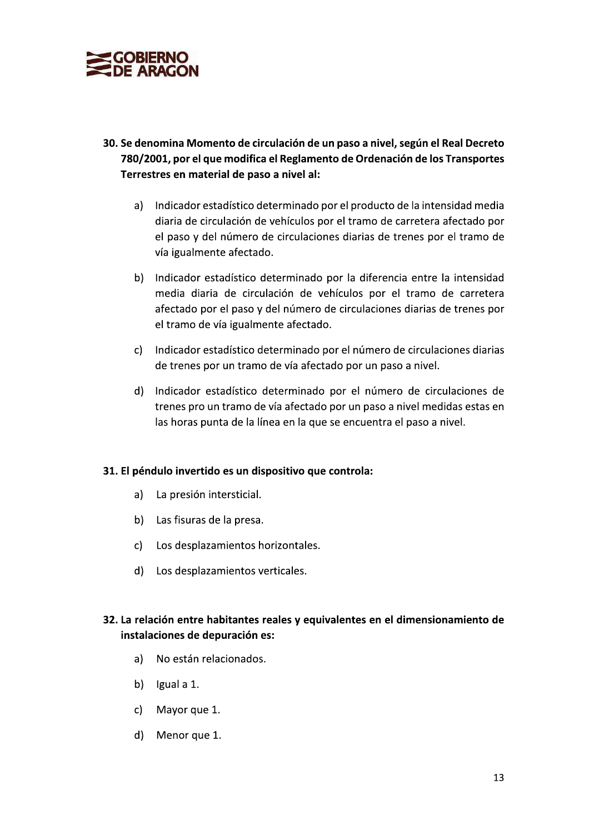

- 30. Se denomina Momento de circulación de un paso a nivel, según el Real Decreto 780/2001, por el que modifica el Reglamento de Ordenación de los Transportes Terrestres en material de paso a nivel al:
	- a) Indicador estadístico determinado por el producto de la intensidad media diaria de circulación de vehículos por el tramo de carretera afectado por el paso y del número de circulaciones diarias de trenes por el tramo de vía igualmente afectado.
	- b) Indicador estadístico determinado por la diferencia entre la intensidad media diaria de circulación de vehículos por el tramo de carretera afectado por el paso y del número de circulaciones diarias de trenes por el tramo de vía igualmente afectado.
	- c) Indicador estadístico determinado por el número de circulaciones diarias de trenes por un tramo de vía afectado por un paso a nivel.
	- d) Indicador estadístico determinado por el número de circulaciones de trenes pro un tramo de vía afectado por un paso a nivel medidas estas en las horas punta de la línea en la que se encuentra el paso a nivel.

#### 31. El péndulo invertido es un dispositivo que controla:

- La presión intersticial. a)
- b) Las fisuras de la presa.
- c) Los desplazamientos horizontales.
- d) Los desplazamientos verticales.

### 32. La relación entre habitantes reales y equivalentes en el dimensionamiento de instalaciones de depuración es:

- No están relacionados. a)
- b)  $lgual a 1.$
- $c)$ Mayor que 1.
- d) Menor que 1.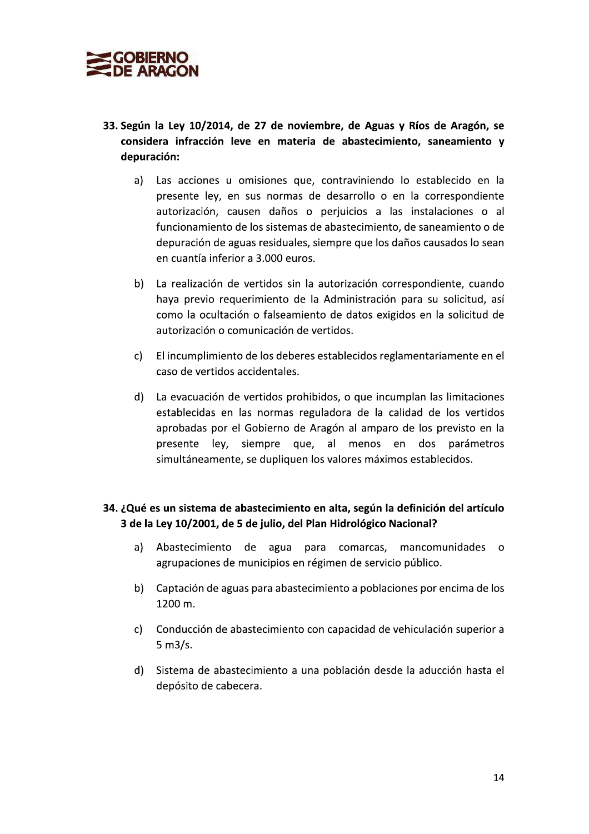

- 33. Según la Ley 10/2014, de 27 de noviembre, de Aguas y Ríos de Aragón, se considera infracción leve en materia de abastecimiento, saneamiento y depuración:
	- Las acciones u omisiones que, contraviniendo lo establecido en la a) presente ley, en sus normas de desarrollo o en la correspondiente autorización, causen daños o perjuicios a las instalaciones o al funcionamiento de los sistemas de abastecimiento, de saneamiento o de depuración de aguas residuales, siempre que los daños causados lo sean en cuantía inferior a 3.000 euros.
	- La realización de vertidos sin la autorización correspondiente, cuando  $b)$ haya previo requerimiento de la Administración para su solicitud, así como la ocultación o falseamiento de datos exigidos en la solicitud de autorización o comunicación de vertidos.
	- $c$ ) El incumplimiento de los deberes establecidos reglamentariamente en el caso de vertidos accidentales.
	- d) La evacuación de vertidos prohibidos, o que incumplan las limitaciones establecidas en las normas reguladora de la calidad de los vertidos aprobadas por el Gobierno de Aragón al amparo de los previsto en la presente ley, siempre que, al menos en dos parámetros simultáneamente, se dupliquen los valores máximos establecidos.

# 34. ¿Qué es un sistema de abastecimiento en alta, según la definición del artículo 3 de la Ley 10/2001, de 5 de julio, del Plan Hidrológico Nacional?

- a) Abastecimiento de agua para comarcas, mancomunidades o agrupaciones de municipios en régimen de servicio público.
- b) Captación de aguas para abastecimiento a poblaciones por encima de los 1200 m.
- c) Conducción de abastecimiento con capacidad de vehiculación superior a  $5 m3/s.$
- d) Sistema de abastecimiento a una población desde la aducción hasta el depósito de cabecera.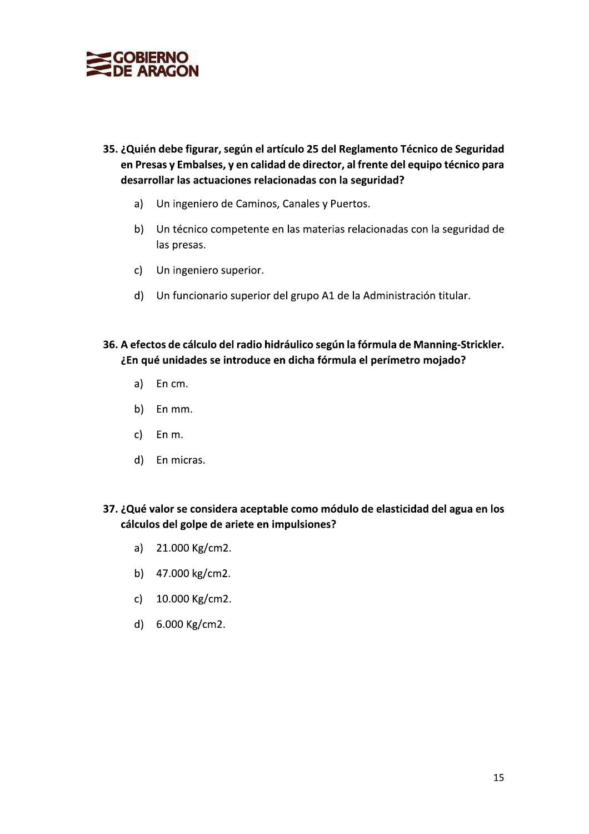

- 35. ¿Quién debe figurar, según el artículo 25 del Reglamento Técnico de Seguridad en Presas y Embalses, y en calidad de director, al frente del equipo técnico para desarrollar las actuaciones relacionadas con la seguridad?
	- Un ingeniero de Caminos, Canales y Puertos.  $a)$
	- $b)$ Un técnico competente en las materias relacionadas con la seguridad de las presas.
	- $c)$ Un ingeniero superior.
	- d) Un funcionario superior del grupo A1 de la Administración titular.
- 36. A efectos de cálculo del radio hidráulico según la fórmula de Manning-Strickler. ¿En qué unidades se introduce en dicha fórmula el perímetro mojado?
	- a) En cm.
	- b) En mm.
	- $\mathsf{c}$ ) En m.
	- d) En micras.
- 37. ¿Qué valor se considera aceptable como módulo de elasticidad del agua en los cálculos del golpe de ariete en impulsiones?
	- a) 21.000 Kg/cm2.
	- b) 47.000 kg/cm2.
	- c) 10.000 Kg/cm2.
	- d) 6.000 Kg/cm2.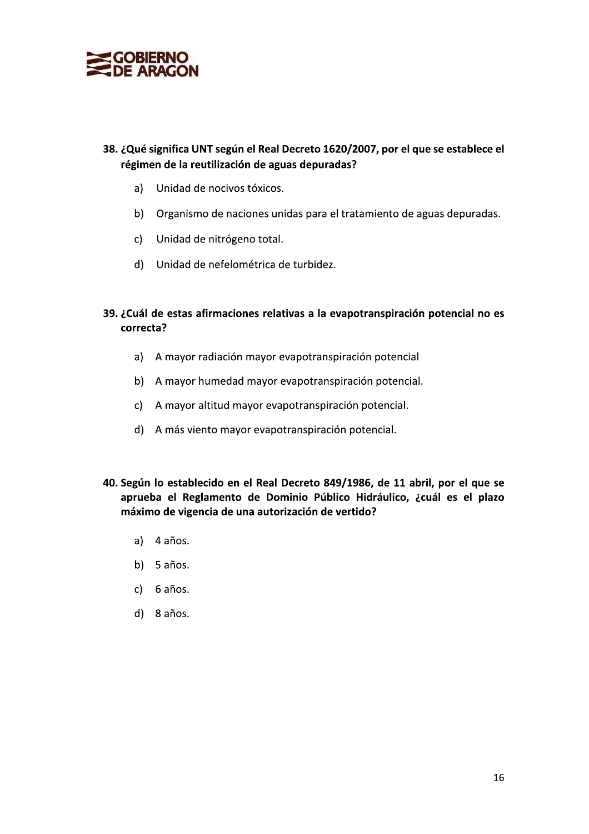

# 38. ¿Qué significa UNT según el Real Decreto 1620/2007, por el que se establece el **SIERNO**<br> **ARAGON**<br>
e significa UNT según el Real Decreto 1620/2007, por el que se establece el<br>
men de la reutilización de aguas depuradas?<br>
) Unidad de nocivos tóxicos.<br>
) Unidad de nitrógeno total.<br>
) Unidad de nefelomé régimen de la reutilización de aguas depuradas?

- a) Unidad de nocivos tóxicos.
- b) Organismo de naciones unidas para el tratamiento de aguas depuradas.
- c) Unidad de nitrógeno total.
- d) Unidad de nefelométrica de turbidez.
- 39. ¿Cuál de estas afirmaciones relativas a la evapotranspiración potencial no es correcta?
	- a) A mayor radiación mayor evapotranspiración potencial
	- b) A mayor humedad mayor evapotranspiración potencial.
	- c) A mayor altitud mayor evapotranspiración potencial.
	- d) A más viento mayor evapotranspiración potencial.
- b) A mayor humedad mayor evapotranspiración potencial.<br>
c) A mayor altitud mayor evapotranspiración potencial.<br>
d) A más viento mayor evapotranspiración potencial.<br> **40. Según lo establecido en el Real Decreto 849/1986, de** 40. Según lo establecido en el Real Decreto 849/1986, de 11 abril, por el que se aprueba el Reglamento de Dominio Público Hidráulico, ¿cuál es el plazo máximo de vigencia de una autorización de vertido?
	- $a)$  4  $a$ ños.
	- $b)$  5 años.
	- $c)$  6 años.
	- d) 8 años.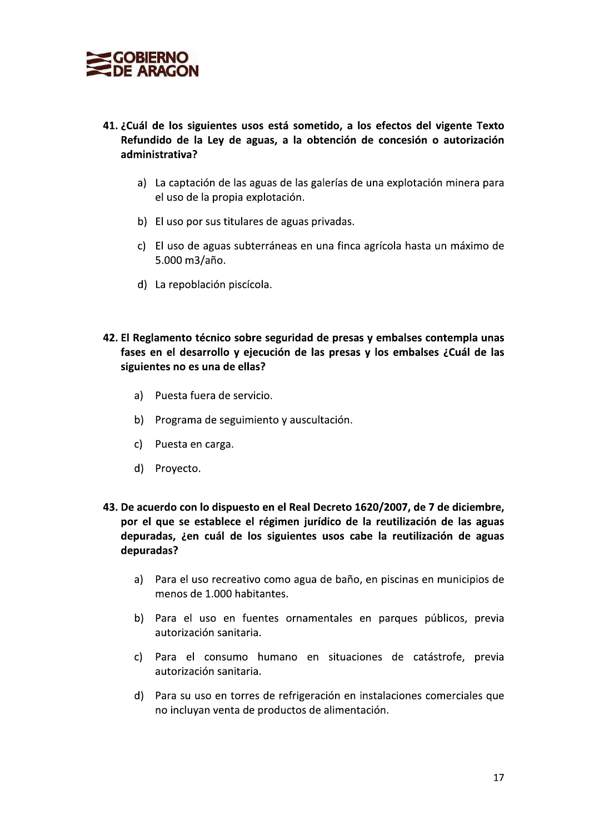

- 41. ¿Cuál de los siguientes usos está sometido, a los efectos del vigente Texto Refundido de la Ley de aguas, a la obtención de concesión o autorización administrativa?
	- a) La captación de las aguas de las galerías de una explotación minera para el uso de la propia explotación.
	- b) El uso por sus titulares de aguas privadas.
	- c) El uso de aguas subterráneas en una finca agrícola hasta un máximo de 5.000 m3/año.
	- d) La repoblación piscícola.
- 42. El Reglamento técnico sobre seguridad de presas y embalses contempla unas fases en el desarrollo y ejecución de las presas y los embalses ¿Cuál de las siguientes no es una de ellas?
	- a) Puesta fuera de servicio.
	- b) Programa de seguimiento y auscultación.
	- c) Puesta en carga.
	- d) Proyecto.
- 43. De acuerdo con lo dispuesto en el Real Decreto 1620/2007, de 7 de diciembre, por el que se establece el régimen jurídico de la reutilización de las aguas depuradas, ¿en cuál de los siguientes usos cabe la reutilización de aguas depuradas?
	- a) Para el uso recreativo como agua de baño, en piscinas en municipios de menos de 1.000 habitantes.
	- b) Para el uso en fuentes ornamentales en parques públicos, previa autorización sanitaria.
	- c) Para el consumo humano en situaciones de catástrofe, previa autorización sanitaria.
	- d) Para su uso en torres de refrigeración en instalaciones comerciales que no incluyan venta de productos de alimentación.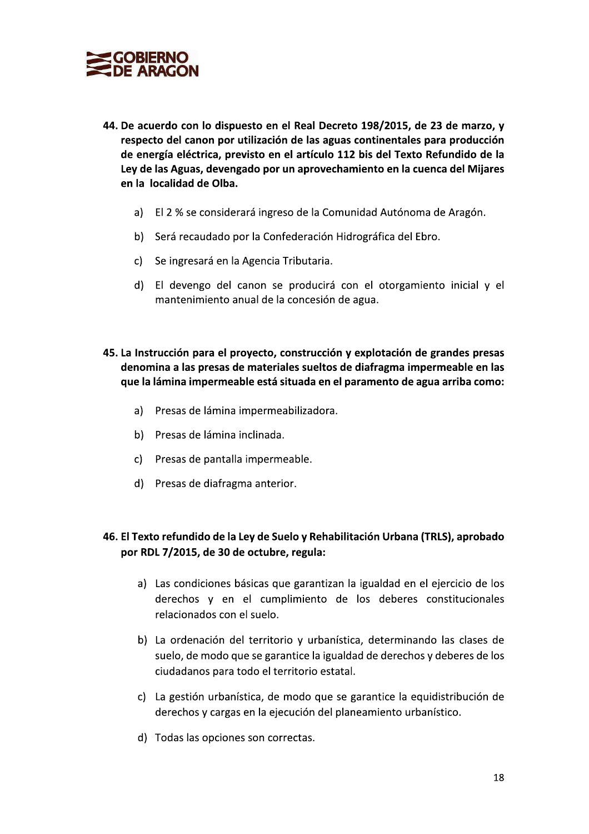

- 44. De acuerdo con lo dispuesto en el Real Decreto 198/2015, de 23 de marzo, y respecto del canon por utilización de las aguas continentales para producción de energía eléctrica, previsto en el artículo 112 bis del Texto Refundido de la Ley de las Aguas, devengado por un aprovechamiento en la cuenca del Mijares en la localidad de Olba.
	- a) El 2 % se considerará ingreso de la Comunidad Autónoma de Aragón.
	- b) Será recaudado por la Confederación Hidrográfica del Ebro.
	- c) Se ingresará en la Agencia Tributaria.
	- d) El devengo del canon se producirá con el otorgamiento inicial y el mantenimiento anual de la concesión de agua.
- 45. La Instrucción para el proyecto, construcción y explotación de grandes presas denomina a las presas de materiales sueltos de diafragma impermeable en las que la lámina impermeable está situada en el paramento de agua arriba como:
	- a) Presas de lámina impermeabilizadora.
	- b) Presas de lámina inclinada.
	- c) Presas de pantalla impermeable.
	- d) Presas de diafragma anterior.

# 46. El Texto refundido de la Ley de Suelo y Rehabilitación Urbana (TRLS), aprobado por RDL 7/2015, de 30 de octubre, regula:

- a) Las condiciones básicas que garantizan la igualdad en el ejercicio de los derechos y en el cumplimiento de los deberes constitucionales relacionados con el suelo.
- b) La ordenación del territorio y urbanística, determinando las clases de suelo, de modo que se garantice la igualdad de derechos y deberes de los ciudadanos para todo el territorio estatal.
- c) La gestión urbanística, de modo que se garantice la equidistribución de derechos y cargas en la ejecución del planeamiento urbanístico.
- d) Todas las opciones son correctas.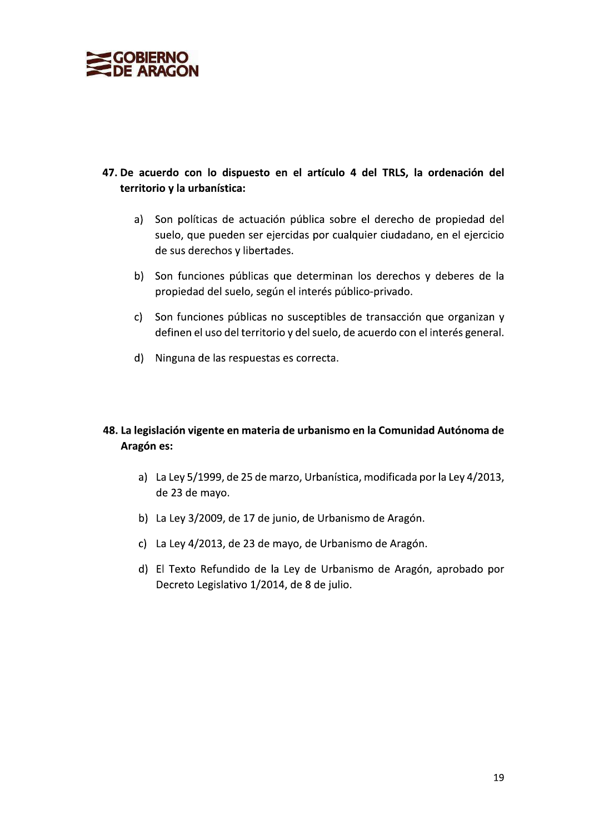

# 47. De acuerdo con lo dispuesto en el artículo 4 del TRLS, la ordenación del territorio y la urbanística:

- Son políticas de actuación pública sobre el derecho de propiedad del a) suelo, que pueden ser ejercidas por cualquier ciudadano, en el ejercicio de sus derechos y libertades.
- b) Son funciones públicas que determinan los derechos y deberes de la propiedad del suelo, según el interés público-privado.
- c) Son funciones públicas no susceptibles de transacción que organizan y definen el uso del territorio y del suelo, de acuerdo con el interés general.
- d) Ninguna de las respuestas es correcta.

# 48. La legislación vigente en materia de urbanismo en la Comunidad Autónoma de Aragón es:

- a) La Ley 5/1999, de 25 de marzo, Urbanística, modificada por la Ley 4/2013, de 23 de mayo.
- b) La Ley 3/2009, de 17 de junio, de Urbanismo de Aragón.
- c) La Ley 4/2013, de 23 de mayo, de Urbanismo de Aragón.
- d) El Texto Refundido de la Ley de Urbanismo de Aragón, aprobado por Decreto Legislativo 1/2014, de 8 de julio.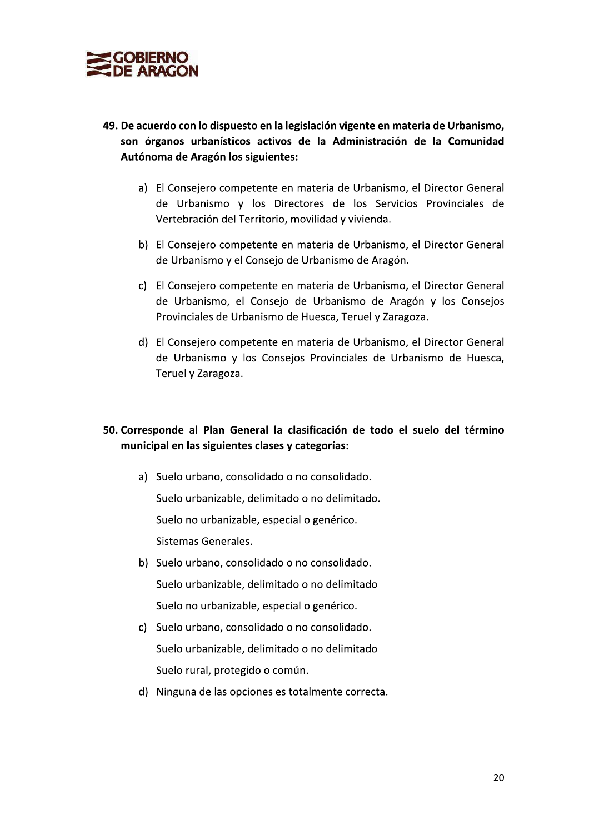

- 49. De acuerdo con lo dispuesto en la legislación vigente en materia de Urbanismo, son órganos urbanísticos activos de la Administración de la Comunidad Autónoma de Aragón los siguientes:
	- a) El Consejero competente en materia de Urbanismo, el Director General de Urbanismo y los Directores de los Servicios Provinciales de Vertebración del Territorio, movilidad y vivienda.
	- b) El Consejero competente en materia de Urbanismo, el Director General de Urbanismo y el Consejo de Urbanismo de Aragón.
	- c) El Consejero competente en materia de Urbanismo, el Director General de Urbanismo, el Consejo de Urbanismo de Aragón y los Consejos Provinciales de Urbanismo de Huesca, Teruel y Zaragoza.
	- d) El Consejero competente en materia de Urbanismo, el Director General de Urbanismo y los Consejos Provinciales de Urbanismo de Huesca, Teruel y Zaragoza.

# 50. Corresponde al Plan General la clasificación de todo el suelo del término municipal en las siguientes clases y categorías:

- a) Suelo urbano, consolidado o no consolidado. Suelo urbanizable, delimitado o no delimitado. Suelo no urbanizable, especial o genérico. Sistemas Generales.
- b) Suelo urbano, consolidado o no consolidado. Suelo urbanizable, delimitado o no delimitado Suelo no urbanizable, especial o genérico.
- c) Suelo urbano, consolidado o no consolidado. Suelo urbanizable, delimitado o no delimitado Suelo rural, protegido o común.
- d) Ninguna de las opciones es totalmente correcta.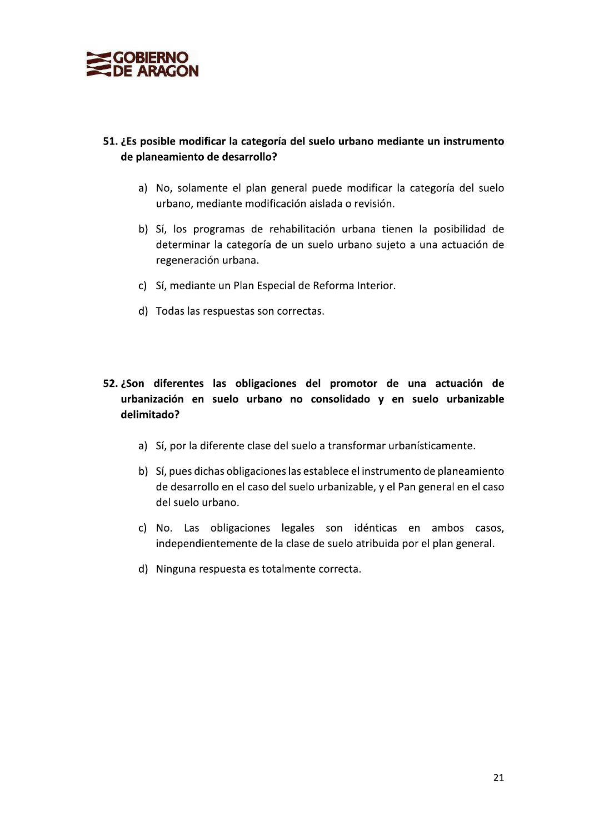

# 51. ¿Es posible modificar la categoría del suelo urbano mediante un instrumento de planeamiento de desarrollo?

- a) No, solamente el plan general puede modificar la categoría del suelo urbano, mediante modificación aislada o revisión.
- b) Sí, los programas de rehabilitación urbana tienen la posibilidad de determinar la categoría de un suelo urbano sujeto a una actuación de regeneración urbana.
- c) Sí, mediante un Plan Especial de Reforma Interior.
- d) Todas las respuestas son correctas.

# 52. ¿Son diferentes las obligaciones del promotor de una actuación de urbanización en suelo urbano no consolidado y en suelo urbanizable delimitado?

- a) Sí, por la diferente clase del suelo a transformar urbanísticamente.
- b) Sí, pues dichas obligaciones las establece el instrumento de planeamiento de desarrollo en el caso del suelo urbanizable, y el Pan general en el caso del suelo urbano.
- c) No. Las obligaciones legales son idénticas en ambos casos, independientemente de la clase de suelo atribuida por el plan general.
- d) Ninguna respuesta es totalmente correcta.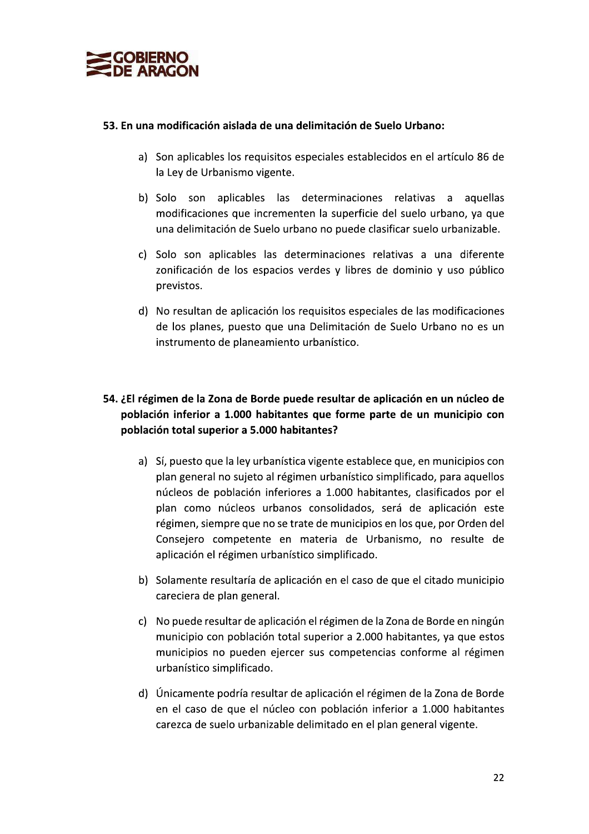

#### 53. En una modificación aislada de una delimitación de Suelo Urbano:

- a) Son aplicables los requisitos especiales establecidos en el artículo 86 de la Ley de Urbanismo vigente.
- b) Solo son aplicables las determinaciones relativas a aquellas modificaciones que incrementen la superficie del suelo urbano, va que una delimitación de Suelo urbano no puede clasificar suelo urbanizable.
- c) Solo son aplicables las determinaciones relativas a una diferente zonificación de los espacios verdes y libres de dominio y uso público previstos.
- d) No resultan de aplicación los requisitos especiales de las modificaciones de los planes, puesto que una Delimitación de Suelo Urbano no es un instrumento de planeamiento urbanístico.

# 54. ¿El régimen de la Zona de Borde puede resultar de aplicación en un núcleo de población inferior a 1.000 habitantes que forme parte de un municipio con población total superior a 5.000 habitantes?

- a) Sí, puesto que la ley urbanística vigente establece que, en municipios con plan general no sujeto al régimen urbanístico simplificado, para aquellos núcleos de población inferiores a 1.000 habitantes, clasificados por el plan como núcleos urbanos consolidados, será de aplicación este régimen, siempre que no se trate de municipios en los que, por Orden del Consejero competente en materia de Urbanismo, no resulte de aplicación el régimen urbanístico simplificado.
- b) Solamente resultaría de aplicación en el caso de que el citado municipio careciera de plan general.
- c) No puede resultar de aplicación el régimen de la Zona de Borde en ningún municipio con población total superior a 2.000 habitantes, ya que estos municipios no pueden ejercer sus competencias conforme al régimen urbanístico simplificado.
- d) Únicamente podría resultar de aplicación el régimen de la Zona de Borde en el caso de que el núcleo con población inferior a 1.000 habitantes carezca de suelo urbanizable delimitado en el plan general vigente.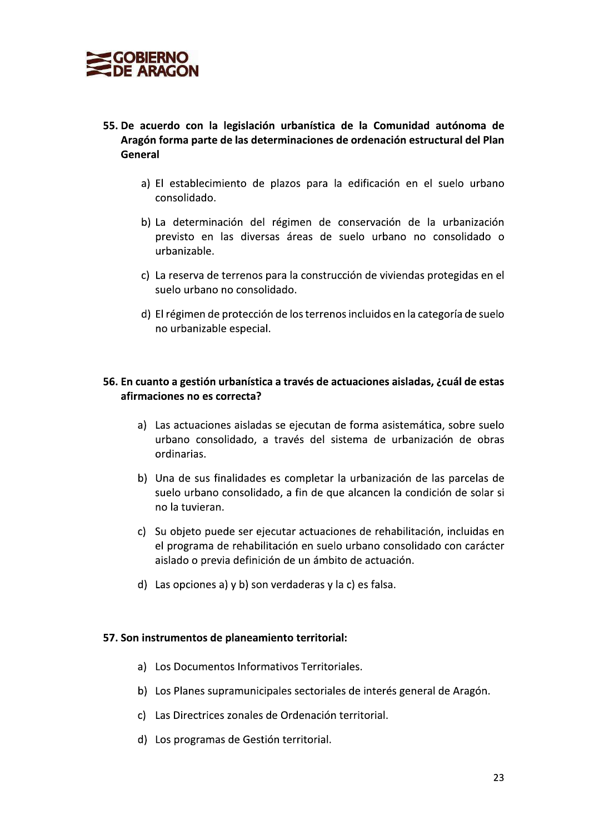

- 55. De acuerdo con la legislación urbanística de la Comunidad autónoma de Aragón forma parte de las determinaciones de ordenación estructural del Plan General
	- a) El establecimiento de plazos para la edificación en el suelo urbano consolidado.
	- b) La determinación del régimen de conservación de la urbanización previsto en las diversas áreas de suelo urbano no consolidado o urbanizable.
	- c) La reserva de terrenos para la construcción de viviendas protegidas en el suelo urbano no consolidado.
	- d) El régimen de protección de los terrenos incluidos en la categoría de suelo no urbanizable especial.

#### 56. En cuanto a gestión urbanística a través de actuaciones aisladas, ¿cuál de estas afirmaciones no es correcta?

- a) Las actuaciones aisladas se ejecutan de forma asistemática, sobre suelo urbano consolidado, a través del sistema de urbanización de obras ordinarias.
- b) Una de sus finalidades es completar la urbanización de las parcelas de suelo urbano consolidado, a fin de que alcancen la condición de solar si no la tuvieran.
- c) Su objeto puede ser ejecutar actuaciones de rehabilitación, incluidas en el programa de rehabilitación en suelo urbano consolidado con carácter aislado o previa definición de un ámbito de actuación.
- d) Las opciones a) y b) son verdaderas y la c) es falsa.

#### 57. Son instrumentos de planeamiento territorial:

- a) Los Documentos Informativos Territoriales.
- b) Los Planes supramunicipales sectoriales de interés general de Aragón.
- c) Las Directrices zonales de Ordenación territorial.
- d) Los programas de Gestión territorial.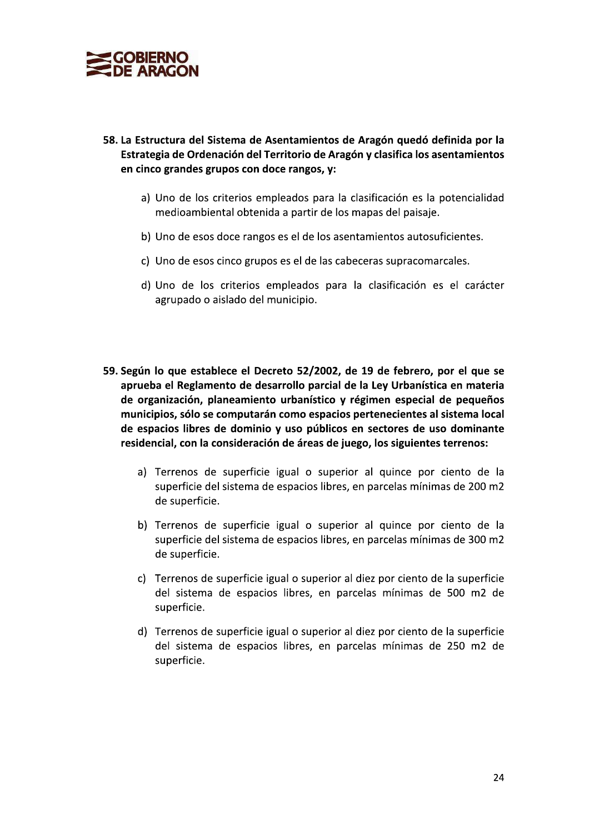

- 58. La Estructura del Sistema de Asentamientos de Aragón quedó definida por la Estrategia de Ordenación del Territorio de Aragón y clasifica los asentamientos en cinco grandes grupos con doce rangos, y:
	- a) Uno de los criterios empleados para la clasificación es la potencialidad medioambiental obtenida a partir de los mapas del paisaje.
	- b) Uno de esos doce rangos es el de los asentamientos autosuficientes.
	- c) Uno de esos cinco grupos es el de las cabeceras supracomarcales.
	- d) Uno de los criterios empleados para la clasificación es el carácter agrupado o aislado del municipio.
- 59. Según lo que establece el Decreto 52/2002, de 19 de febrero, por el que se aprueba el Reglamento de desarrollo parcial de la Ley Urbanística en materia de organización, planeamiento urbanístico y régimen especial de pequeños municipios, sólo se computarán como espacios pertenecientes al sistema local de espacios libres de dominio y uso públicos en sectores de uso dominante residencial, con la consideración de áreas de juego, los siguientes terrenos:
	- a) Terrenos de superficie igual o superior al quince por ciento de la superficie del sistema de espacios libres, en parcelas mínimas de 200 m2 de superficie.
	- b) Terrenos de superficie igual o superior al quince por ciento de la superficie del sistema de espacios libres, en parcelas mínimas de 300 m2 de superficie.
	- c) Terrenos de superficie igual o superior al diez por ciento de la superficie del sistema de espacios libres, en parcelas mínimas de 500 m2 de superficie.
	- d) Terrenos de superficie igual o superior al diez por ciento de la superficie del sistema de espacios libres, en parcelas mínimas de 250 m2 de superficie.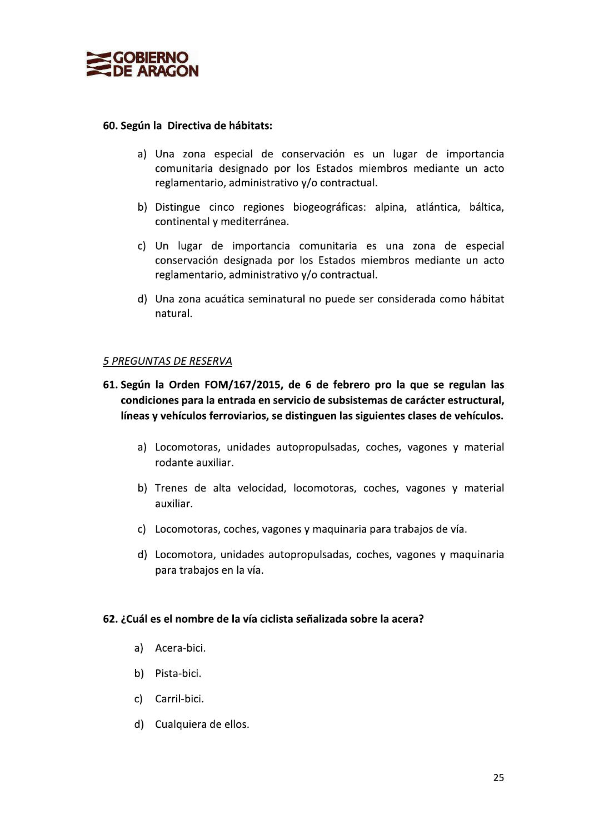

#### 60. Según la Directiva de hábitats:

- a) Una zona especial de conservación es un lugar de importancia comunitaria designado por los Estados miembros mediante un acto reglamentario, administrativo y/o contractual.
- b) Distingue cinco regiones biogeográficas: alpina, atlántica, báltica, continental y mediterránea.
- c) Un lugar de importancia comunitaria es una zona de especial conservación designada por los Estados miembros mediante un acto reglamentario, administrativo y/o contractual.
- d) Una zona acuática seminatural no puede ser considerada como hábitat natural.

#### 5 PREGUNTAS DE RESERVA

- 61. Según la Orden FOM/167/2015, de 6 de febrero pro la que se regulan las condiciones para la entrada en servicio de subsistemas de carácter estructural, líneas y vehículos ferroviarios, se distinguen las siguientes clases de vehículos.
	- a) Locomotoras, unidades autopropulsadas, coches, vagones y material rodante auxiliar.
	- b) Trenes de alta velocidad, locomotoras, coches, vagones y material auxiliar.
	- c) Locomotoras, coches, vagones y maquinaria para trabajos de vía.
	- d) Locomotora, unidades autopropulsadas, coches, vagones y maquinaria para trabaios en la vía.

#### 62. ¿Cuál es el nombre de la vía ciclista señalizada sobre la acera?

- a) Acera-bici.
- b) Pista-bici.
- c) Carril-bici.
- d) Cualquiera de ellos.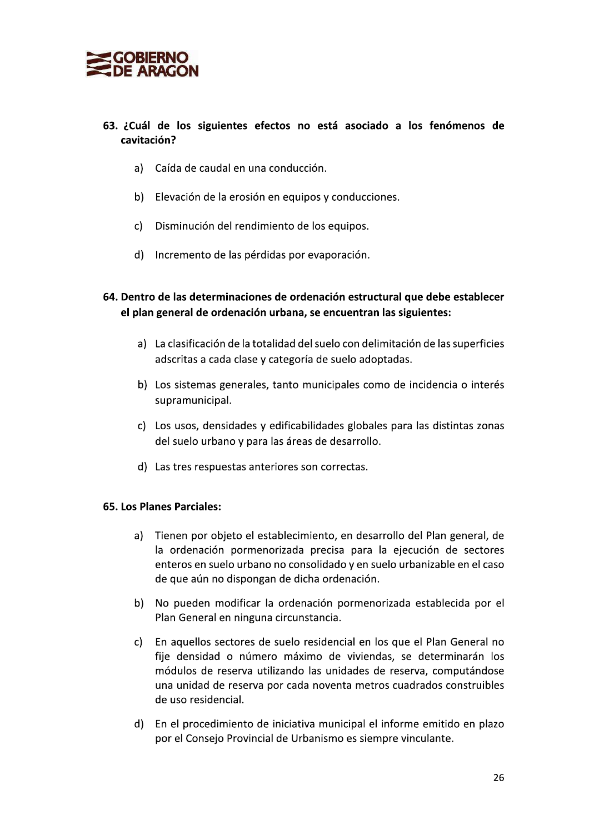

# 63. ¿Cuál de los siguientes efectos no está asociado a los fenómenos de cavitación?

- a) Caída de caudal en una conducción.
- b) Elevación de la erosión en equipos y conducciones.
- c) Disminución del rendimiento de los equipos.
- d) Incremento de las pérdidas por evaporación.
- 64. Dentro de las determinaciones de ordenación estructural que debe establecer el plan general de ordenación urbana, se encuentran las siguientes:
	- a) La clasificación de la totalidad del suelo con delimitación de las superficies adscritas a cada clase y categoría de suelo adoptadas.
	- b) Los sistemas generales, tanto municipales como de incidencia o interés supramunicipal.
	- c) Los usos, densidades y edificabilidades globales para las distintas zonas del suelo urbano y para las áreas de desarrollo.
	- d) Las tres respuestas anteriores son correctas.

#### 65. Los Planes Parciales:

- a) Tienen por objeto el establecimiento, en desarrollo del Plan general, de la ordenación pormenorizada precisa para la ejecución de sectores enteros en suelo urbano no consolidado y en suelo urbanizable en el caso de que aún no dispongan de dicha ordenación.
- b) No pueden modificar la ordenación pormenorizada establecida por el Plan General en ninguna circunstancia.
- En aquellos sectores de suelo residencial en los que el Plan General no C) fije densidad o número máximo de viviendas, se determinarán los módulos de reserva utilizando las unidades de reserva, computándose una unidad de reserva por cada noventa metros cuadrados construibles de uso residencial.
- d) En el procedimiento de iniciativa municipal el informe emitido en plazo por el Consejo Provincial de Urbanismo es siempre vinculante.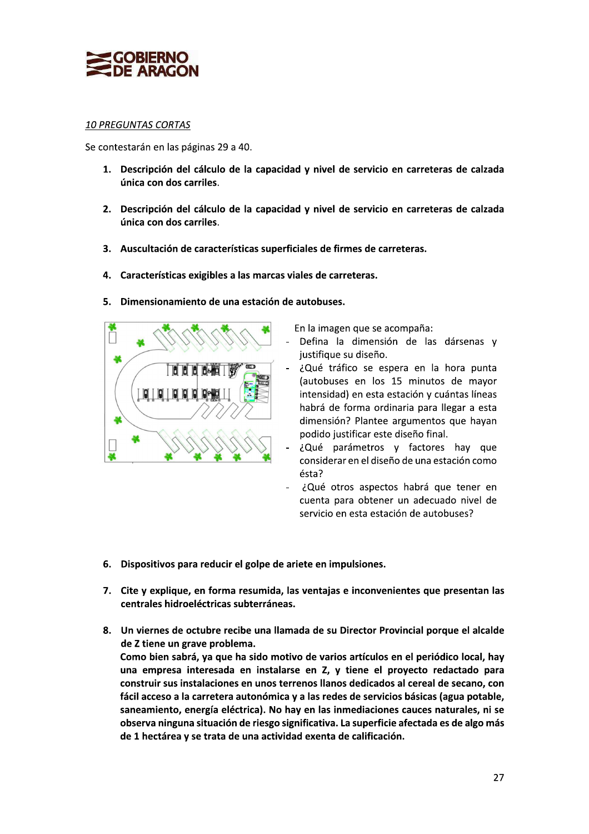

# <u> 10 PREGUNTAS CORTAS</u>

Se contestarán en las páginas 29 a 40.

- 
- **EXECUATE ARAGON**<br>
10 PREGUNTAS CORTAS<br>
Se contestarán en las páginas 29 a 40.<br>
1. Descripción del cálculo de la capacidad y nivel de servicio en carreteras de calzada<br>
unica con dos carriles.<br>
2. Descripción del cálculo d %<br>
10 PREGUNTAS CORTAS<br>
Se contestarán en las páginas 29 a 40.<br>
1. Descripción del cálculo de la capacidad y nivel de servicio en carrete<br>
única con dos carriles.<br>
2. Descripción del cálculo de la capacidad y nivel de serv Se contestarán en las páginas 29 a 40.<br>
1. Descripción del cálculo de la capacidad y nivel de servicio en carreteras de calzada<br>
única con dos carriles.<br>
2. Descripción del cálculo de la capacidad y nivel de servicio en ca
	-
	-
	- A Straited the calculated and the service of carreteras de direction del carbotates.<br>
	2. Descripción del cálculo de la capacidad y nivel de servicio en carreteras de única con dos carriles.<br>
	3. Auscultación de característ

En la imagen que se acompaña:

- Defina la dimensión de las dársenas y justifique su diseño.
- ¿Qué tráfico se espera en la hora punta (autobuses en los 15 minutos de mayor intensidad) en esta estación y cuántas líneas habrá de forma ordinaria para llegar a esta dimensión? Plantee argumentos que hayan podido justificar este diseño final.
- ¿Qué parámetros y factores hay que considerar en el diseño de una estación como  $\acute{e}$ sta?
- ¿Qué otros aspectos habrá que tener en cuenta para obtener un adecuado nivel de servicio en esta estación de autobuses?
- 
- 
- considerar en el diseno de una estacion co<br>
ésta?<br>
Considerar en el diseno de una estacion co<br>
considerar en el diseno de una estacion de<br>
servicio en esta estación de autobuses?<br> **En exercita en el diseno de una estación** denta para obtener en contrata para obtener un adecuado nivel de<br>servicio en esta estación de autobuses?<br>
7. Cite y explique, en forma resumida, las ventajas e inconvenientes que presentan las<br>
centrales hidroeléctricas su 6. Dispositivos para reducir el golpe de ariete en impulsiones.<br>
7. Cite y explique, en forma resumida, las ventajas e inconvenientes que presentan las<br>
centrales hidroeléctricas subterráneas.<br>
8. Un viernes de octubre re